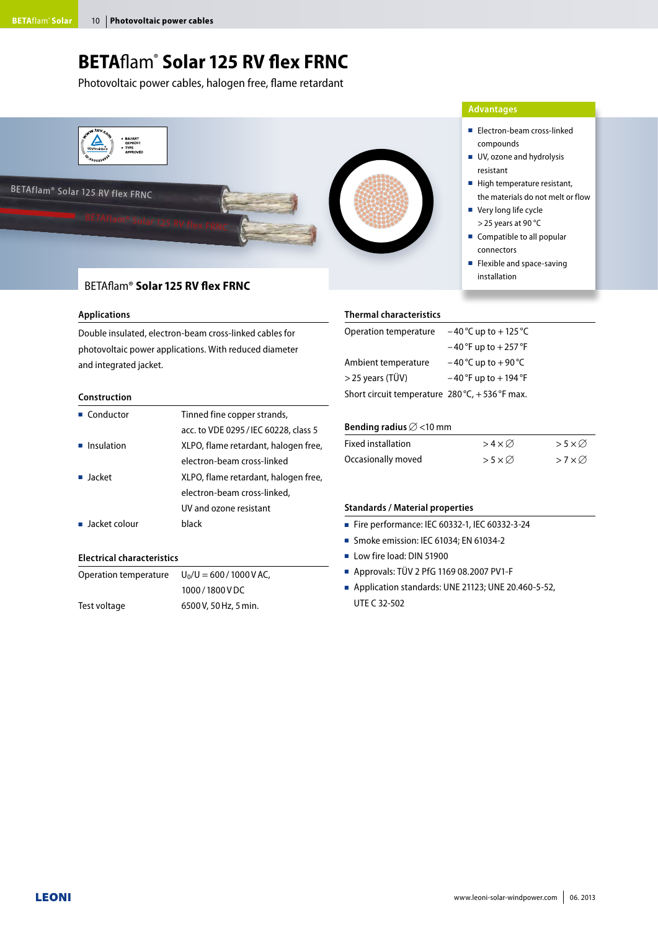## **BETA**flam® **Solar 125 RV flex FRNC**

Photovoltaic power cables, halogen free, flame retardant



#### BETAflam® **Solar 125 RV flex FRNC**

#### **Applications**

Double insulated, electron-beam cross-linked cables for photovoltaic power applications. With reduced diameter and integrated jacket.

#### **Construction**

| $\blacksquare$ Conductor     | Tinned fine copper strands,           |
|------------------------------|---------------------------------------|
|                              | acc. to VDE 0295 / IEC 60228, class 5 |
| $\blacksquare$ Insulation    | XLPO, flame retardant, halogen free,  |
|                              | electron-beam cross-linked            |
| ■ Jacket                     | XLPO, flame retardant, halogen free,  |
|                              | electron-beam cross-linked,           |
|                              | UV and ozone resistant                |
| $\blacksquare$ Jacket colour | black                                 |

#### **Electrical characteristics**

| Operation temperature | $U_0/U = 600/1000 V AC$ , |  |  |
|-----------------------|---------------------------|--|--|
|                       | 1000/1800VDC              |  |  |
| Test voltage          | 6500 V, 50 Hz, 5 min.     |  |  |

#### **Thermal characteristics**

| Operation temperature                                   | $-40^{\circ}$ C up to $+125^{\circ}$ C |
|---------------------------------------------------------|----------------------------------------|
|                                                         | $-40$ °F up to $+257$ °F               |
| Ambient temperature                                     | $-40$ °C up to $+90$ °C                |
| $>$ 25 years (TÜV)                                      | $-40$ °F up to $+194$ °F               |
| Short circuit temperature $280^{\circ}$ C, +536 °F max. |                                        |

#### Bending radius  $\varnothing$  <10 mm

| <b>Fixed installation</b> | $>4\times$ Ø           | $> 5 \times \emptyset$ |
|---------------------------|------------------------|------------------------|
| Occasionally moved        | $> 5 \times \emptyset$ | $>7\times\varnothing$  |

#### **Standards / Material properties**

- Fire performance: IEC 60332-1, IEC 60332-3-24
- Smoke emission: IEC 61034: EN 61034-2
- Low fire load: DIN 51900
- Approvals: TÜV 2 PfG 1169 08.2007 PV1-F
- Application standards: UNE 21123; UNE 20.460-5-52, UTE C 32-502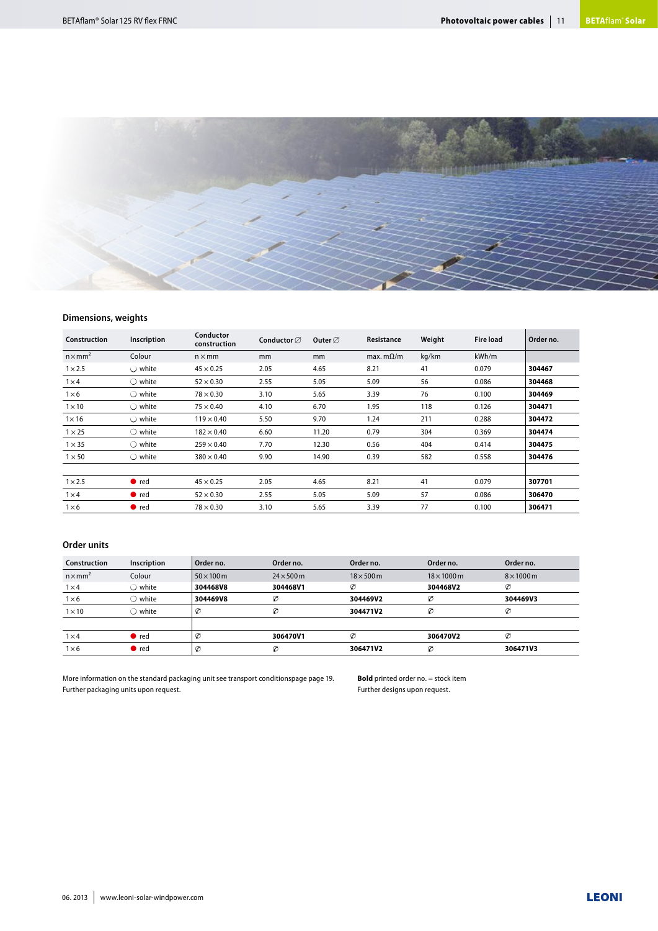

#### **Dimensions, weights**

| Construction    | Inscription      | Conductor<br>construction | Conductor $\varnothing$ | Outer $\varnothing$ | Resistance       | Weight | <b>Fire load</b> | Order no. |
|-----------------|------------------|---------------------------|-------------------------|---------------------|------------------|--------|------------------|-----------|
| $n \times mm^2$ | Colour           | $n \times mm$             | <sub>mm</sub>           | mm                  | max. $m\Omega/m$ | kg/km  | kWh/m            |           |
| $1 \times 2.5$  | $\bigcirc$ white | $45 \times 0.25$          | 2.05                    | 4.65                | 8.21             | 41     | 0.079            | 304467    |
| $1\times4$      | $\bigcirc$ white | $52 \times 0.30$          | 2.55                    | 5.05                | 5.09             | 56     | 0.086            | 304468    |
| $1\times 6$     | $\bigcirc$ white | $78 \times 0.30$          | 3.10                    | 5.65                | 3.39             | 76     | 0.100            | 304469    |
| $1 \times 10$   | $\bigcirc$ white | $75 \times 0.40$          | 4.10                    | 6.70                | 1.95             | 118    | 0.126            | 304471    |
| $1\times 16$    | $\bigcirc$ white | $119 \times 0.40$         | 5.50                    | 9.70                | 1.24             | 211    | 0.288            | 304472    |
| $1 \times 25$   | $\bigcirc$ white | $182 \times 0.40$         | 6.60                    | 11.20               | 0.79             | 304    | 0.369            | 304474    |
| $1 \times 35$   | $\bigcirc$ white | $259 \times 0.40$         | 7.70                    | 12.30               | 0.56             | 404    | 0.414            | 304475    |
| $1 \times 50$   | $\bigcirc$ white | $380 \times 0.40$         | 9.90                    | 14.90               | 0.39             | 582    | 0.558            | 304476    |
| $1 \times 2.5$  | $\bullet$ red    | $45 \times 0.25$          | 2.05                    | 4.65                | 8.21             | 41     | 0.079            | 307701    |
| $1\times4$      | $\bullet$ red    | $52 \times 0.30$          | 2.55                    | 5.05                | 5.09             | 57     | 0.086            | 306470    |
| $1\times 6$     | $\bullet$ red    | $78 \times 0.30$          | 3.10                    | 5.65                | 3.39             | 77     | 0.100            | 306471    |

#### **Order units**

| Construction    | Inscription   | Order no.         | Order no.         | Order no.        | Order no.          | Order no.         |
|-----------------|---------------|-------------------|-------------------|------------------|--------------------|-------------------|
| $n \times mm^2$ | Colour        | $50 \times 100$ m | $24 \times 500$ m | $18\times 500$ m | $18 \times 1000$ m | $8 \times 1000$ m |
| $1\times4$      | white         | 304468V8          | 304468V1          | Ø                | 304468V2           | Ø                 |
| $1\times 6$     | white         | 304469V8          | Ø                 | 304469V2         | Ø                  | 304469V3          |
| $1 \times 10$   | white         | Ø                 | Ø                 | 304471V2         | Ø                  | Ø                 |
|                 |               |                   |                   |                  |                    |                   |
| $1\times4$      | $\bullet$ red | Ø                 | 306470V1          | Ø                | 306470V2           | Ø                 |
| $1\times 6$     | $\bullet$ red | Ø                 | Ø                 | 306471V2         | Ø                  | 306471V3          |

More information on the standard packaging unit see transport conditionspage page 19. Further packaging units upon request.

**Bold** printed order no. = stock item Further designs upon request.